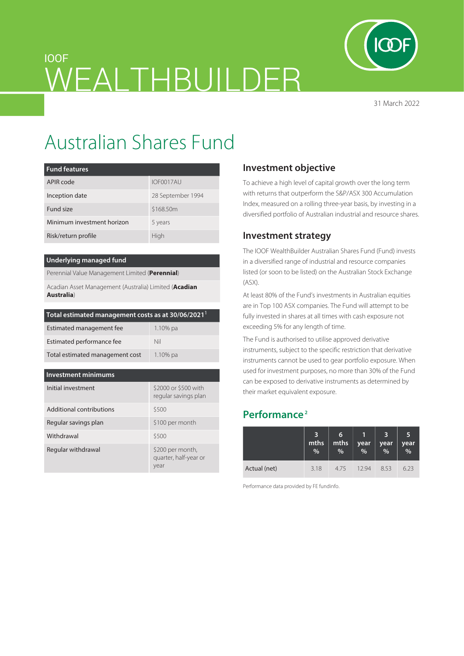

31 March 2022

# IOOF WEALTHBUILDER

# Australian Shares Fund

| <b>Fund features</b>       |                   |
|----------------------------|-------------------|
| APIR code                  | IOF0017AU         |
| Inception date             | 28 September 1994 |
| Fund size                  | \$168,50m         |
| Minimum investment horizon | 5 years           |
| Risk/return profile        | High              |

### **Underlying managed fund**

Perennial Value Management Limited (**Perennial**)

Acadian Asset Management (Australia) Limited (**Acadian Australia**)

| Total estimated management costs as at 30/06/2021 $^{\rm{l}}$ |  |
|---------------------------------------------------------------|--|
|                                                               |  |

| Estimated management fee        | $1.10\%$ pa |
|---------------------------------|-------------|
| Estimated performance fee       | Nil         |
| Total estimated management cost | $1.10\%$ pa |

#### **Investment minimums**

| Initial investment       | \$2000 or \$500 with<br>regular savings plan      |
|--------------------------|---------------------------------------------------|
| Additional contributions | \$500                                             |
| Regular savings plan     | \$100 per month                                   |
| Withdrawal               | \$500                                             |
| Regular withdrawal       | \$200 per month,<br>quarter, half-year or<br>year |

# **Investment objective**

To achieve a high level of capital growth over the long term with returns that outperform the S&P/ASX 300 Accumulation Index, measured on a rolling three-year basis, by investing in a diversified portfolio of Australian industrial and resource shares.

# **Investment strategy**

The IOOF WealthBuilder Australian Shares Fund (Fund) invests in a diversified range of industrial and resource companies listed (or soon to be listed) on the Australian Stock Exchange (ASX).

At least 80% of the Fund's investments in Australian equities are in Top 100 ASX companies. The Fund will attempt to be fully invested in shares at all times with cash exposure not exceeding 5% for any length of time.

The Fund is authorised to utilise approved derivative instruments, subject to the specific restriction that derivative instruments cannot be used to gear portfolio exposure. When used for investment purposes, no more than 30% of the Fund can be exposed to derivative instruments as determined by their market equivalent exposure.

# **Performance 2**

|              | mths<br>% | 6<br>mths<br>% | year<br>% | 3<br>year<br>$\frac{9}{6}$ | 5<br>$year$ <sub>%</sub> |
|--------------|-----------|----------------|-----------|----------------------------|--------------------------|
| Actual (net) | 3.18      | 475            | 1294      | 8.53                       | 6.23                     |

Performance data provided by FE fundinfo.